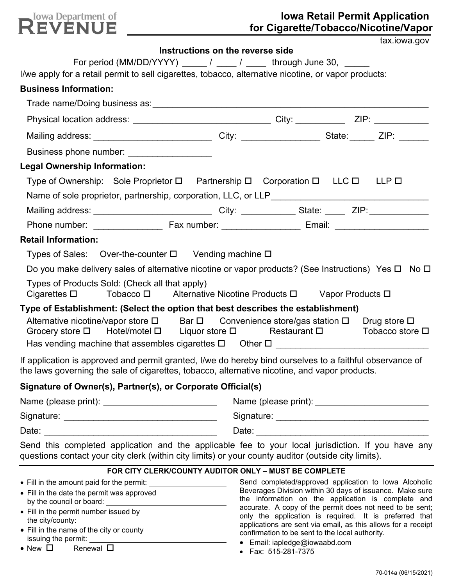

# **Iowa Retail Permit Application for Cigarette/Tobacco/Nicotine/Vapor**

|                                                                                                                                                                                                            |                                                       |                                               | tax.iowa.gov |
|------------------------------------------------------------------------------------------------------------------------------------------------------------------------------------------------------------|-------------------------------------------------------|-----------------------------------------------|--------------|
|                                                                                                                                                                                                            | Instructions on the reverse side                      |                                               |              |
| For period (MM/DD/YYYY) $\frac{1}{2}$ / $\frac{1}{2}$ through June 30, $\frac{1}{2}$<br>I/we apply for a retail permit to sell cigarettes, tobacco, alternative nicotine, or vapor products:               |                                                       |                                               |              |
| <b>Business Information:</b>                                                                                                                                                                               |                                                       |                                               |              |
|                                                                                                                                                                                                            |                                                       |                                               |              |
|                                                                                                                                                                                                            |                                                       |                                               |              |
| Mailing address: ________________________________City: _____________________State: _______ ZIP: _______                                                                                                    |                                                       |                                               |              |
| Business phone number: ___________________                                                                                                                                                                 |                                                       |                                               |              |
| <b>Legal Ownership Information:</b>                                                                                                                                                                        |                                                       |                                               |              |
| Type of Ownership: Sole Proprietor $\square$ Partnership $\square$ Corporation $\square$ LLC $\square$ LLP $\square$                                                                                       |                                                       |                                               |              |
|                                                                                                                                                                                                            |                                                       |                                               |              |
| Mailing address: ________________________________City: ______________State: _______ZIP: ____________                                                                                                       |                                                       |                                               |              |
|                                                                                                                                                                                                            |                                                       |                                               |              |
| <b>Retail Information:</b>                                                                                                                                                                                 |                                                       |                                               |              |
| Types of Sales: Over-the-counter □ Vending machine □                                                                                                                                                       |                                                       |                                               |              |
| Do you make delivery sales of alternative nicotine or vapor products? (See Instructions) Yes $\Box$ No $\Box$                                                                                              |                                                       |                                               |              |
| Types of Products Sold: (Check all that apply)<br>Cigarettes □ Tobacco □ Alternative Nicotine Products □ Vapor Products □                                                                                  |                                                       |                                               |              |
| Type of Establishment: (Select the option that best describes the establishment)<br>Alternative nicotine/vapor store □ Bar □ Convenience store/gas station □ Drug store □                                  |                                                       |                                               |              |
| Grocery store $\Box$ Hotel/motel $\Box$ Liquor store $\Box$ Restaurant $\Box$ Tobacco store $\Box$                                                                                                         |                                                       |                                               |              |
| If application is approved and permit granted, I/we do hereby bind ourselves to a faithful observance of<br>the laws governing the sale of cigarettes, tobacco, alternative nicotine, and vapor products.  |                                                       |                                               |              |
| Signature of Owner(s), Partner(s), or Corporate Official(s)                                                                                                                                                |                                                       |                                               |              |
| Name (please print): ___________________________                                                                                                                                                           |                                                       |                                               |              |
|                                                                                                                                                                                                            |                                                       |                                               |              |
|                                                                                                                                                                                                            |                                                       |                                               |              |
| Send this completed application and the applicable fee to your local jurisdiction. If you have any<br>questions contact your city clerk (within city limits) or your county auditor (outside city limits). |                                                       |                                               |              |
|                                                                                                                                                                                                            | FOR CITY CLERK/COUNTY AUDITOR ONLY - MUST BE COMPLETE |                                               |              |
|                                                                                                                                                                                                            |                                                       | exerce Division within 20 deve of incurries M |              |

- Fill in the date the permit was approved by the council or board:
- Fill in the permit number issued by the city/county:
- Fill in the name of the city or county issuing the permit:
- New  $\Box$  Renewal  $\Box$

Send completed/approved application to Iowa Alcoholic Beverages Division within 30 days of issuance. Make sure the information on the application is complete and accurate. A copy of the permit does not need to be sent; only the application is required. It is preferred that applications are sent via email, as this allows for a receipt confirmation to be sent to the local authority.

- Email: iapledge@iowaabd.com
- Fax: 515-281-7375